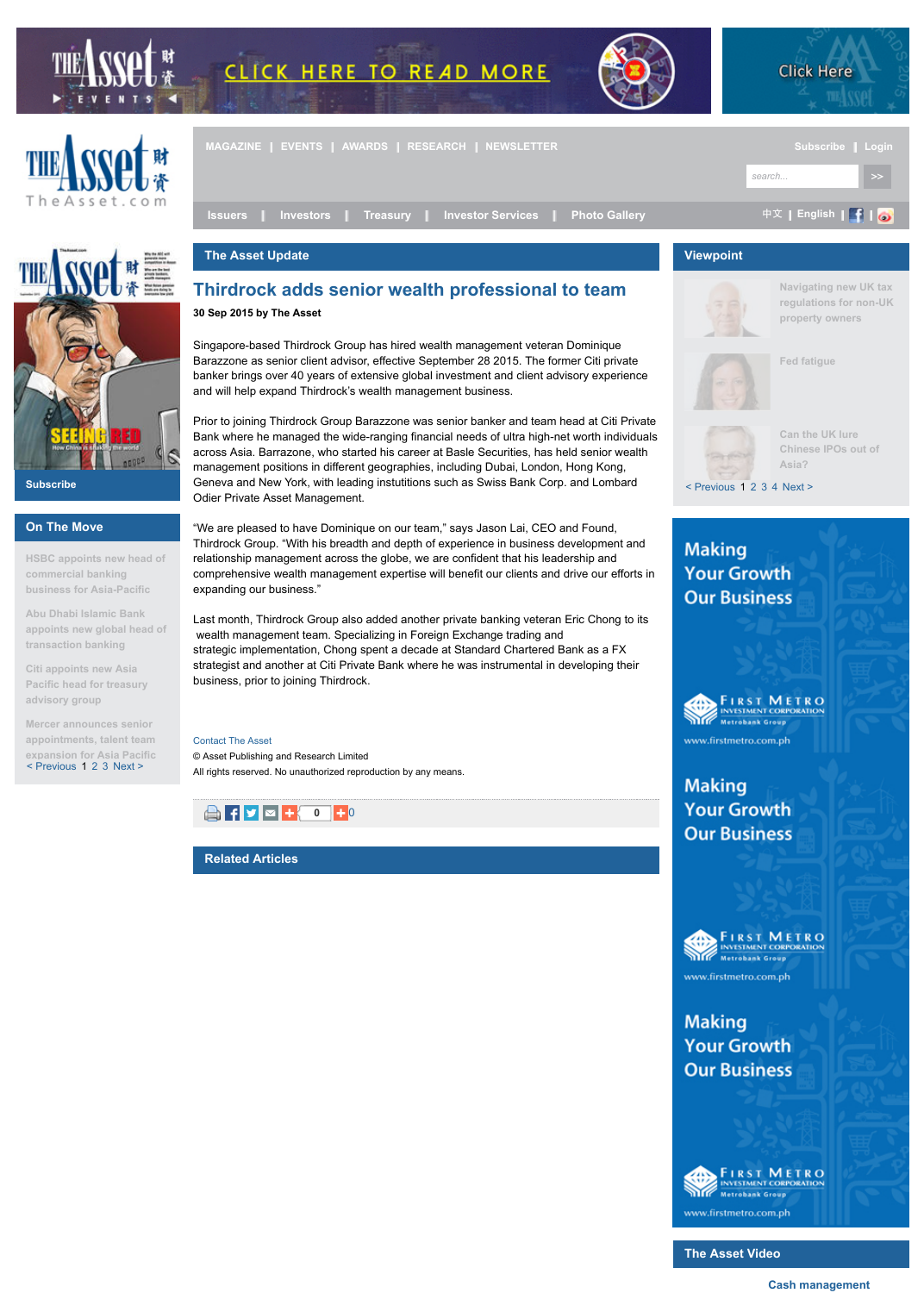**HSBC appoints new head of commercial banking business for Asia-Pacific**

**Abu Dhabi Islamic Bank appoints new global head of transaction banking**

**Citi appoints new Asia Pacific head for treasury advisory group**

< Previous 1 2 3 Next > **Mercer announces senior appointments, talent team [expansion for Asia Pacific](http://theasset.com/index.php)**

Thirdrock Group. "With his breadth and depth of experience in business deve relationship management across the globe, we are confident that his leadership comprehensive wealth management expertise will benefit our clients and driv expanding our business."

Last month, Thirdrock Group also added another private banking veteran Eric wealth management team. Specializing in Foreign Exchange trading and strategic implementation, Chong spent a decade at Standard Chartered Bank strategist and another at Citi Private Bank where he was instrumental in deve b[usiness, prio](http://theasset.com/index.php)r t[o joining T](http://theasset.com/events)hir[drock.](http://theasset.com/awards)

## Contact The Asset

[© Asset Publishin](http://theasset.com/category/Issuers/)[g and Research Lim](http://theasset.com/category/Investors/)[ited](http://theasset.com/category/Treasury/)  All rights reserved. No unauthorized reproduction by any [means.](http://theasset.com/category/InvestorServices/)



**Related Articles**